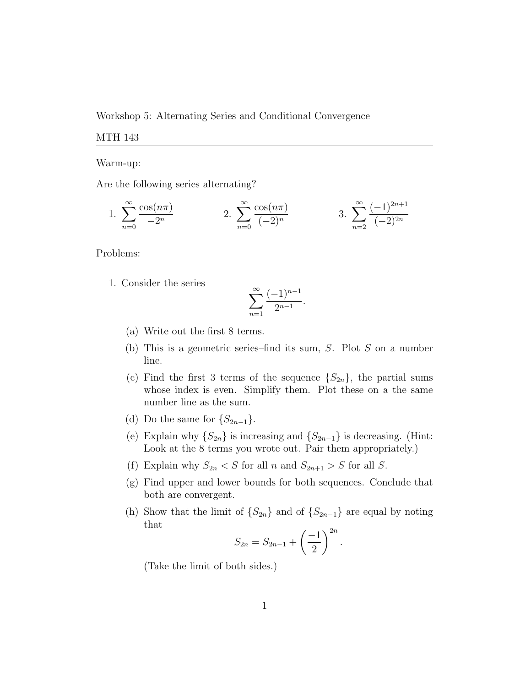Workshop 5: Alternating Series and Conditional Convergence

## MTH 143

Warm-up:

Are the following series alternating?

1. 
$$
\sum_{n=0}^{\infty} \frac{\cos(n\pi)}{-2^n}
$$
 2. 
$$
\sum_{n=0}^{\infty} \frac{\cos(n\pi)}{(-2)^n}
$$
 3. 
$$
\sum_{n=2}^{\infty} \frac{(-1)^{2n+1}}{(-2)^{2n}}
$$

Problems:

1. Consider the series

$$
\sum_{n=1}^{\infty} \frac{(-1)^{n-1}}{2^{n-1}}.
$$

- (a) Write out the first 8 terms.
- (b) This is a geometric series–find its sum, S. Plot S on a number line.
- (c) Find the first 3 terms of the sequence  $\{S_{2n}\}\,$ , the partial sums whose index is even. Simplify them. Plot these on a the same number line as the sum.
- (d) Do the same for  $\{S_{2n-1}\}.$
- (e) Explain why  $\{S_{2n}\}\$ is increasing and  $\{S_{2n-1}\}\$ is decreasing. (Hint: Look at the 8 terms you wrote out. Pair them appropriately.)
- (f) Explain why  $S_{2n} < S$  for all n and  $S_{2n+1} > S$  for all S.
- (g) Find upper and lower bounds for both sequences. Conclude that both are convergent.
- (h) Show that the limit of  $\{S_{2n}\}\$  and of  $\{S_{2n-1}\}\$  are equal by noting that

$$
S_{2n} = S_{2n-1} + \left(\frac{-1}{2}\right)^{2n}.
$$

(Take the limit of both sides.)